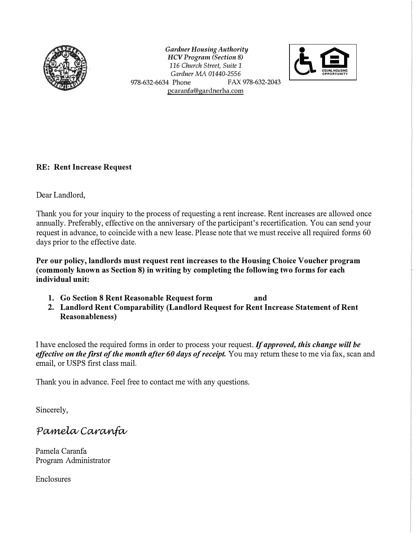

*Gardner Housing Authority HCV Program (Section 8) 116 Church Street, Suite 1 Gardner MA 01440-2556*  978-632-6634 Phone FAX 978-632-2043 pcaranfa@gardnerha.com



## **RE: Rent Increase Request**

Dear Landlord,

Thank you for your inquiry to the process of requesting a rent increase. Rent increases are allowed once annually. Preferably, effective on the anniversary of the participant's recertification. You can send your request in advance, to coincide with a new lease. Please note that we must receive all required forms 60 days prior to the effective date.

**Per our policy, landlords must request rent increases to the Housing Choice Voucher program ( commonly known as Section 8) in writing by completing the following two forms for each individual unit:** 

- **1. Go Section 8 Rent Reasonable Request form and**
- **2. Landlord Rent Comparability (Landlord Request for Rent Increase Statement of Rent Reasonableness)**

I have enclosed the required forms in order to process your request. *If approved, this change will be effective on the first of the month after 60 days of receipt.* You may return these to me via fax, scan and email, or USPS first class mail.

Thank you in advance. Feel free to contact me with any questions.

Sincerely,

Pamela Caranfa

Pamela Caranfa Program Administrator

Enclosures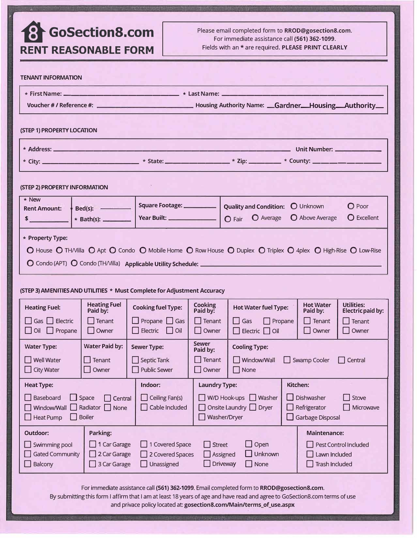## **ii}-GoSectionS.com**

**RENT REASONABLE FORM** 

Please email completed form to **RROD@gosection8.com.** For immediate assistance call **(561) 362-1099.** Fields with an\* are required. **PLEASE PRINT CLEARLY**

| <b>TENANT INFORMATION</b>                                                                                                                                                                                                                                                                                                                                 |                                                          |                                                                 |                                                    |                                                                     |                                                 |                                        |  |  |  |
|-----------------------------------------------------------------------------------------------------------------------------------------------------------------------------------------------------------------------------------------------------------------------------------------------------------------------------------------------------------|----------------------------------------------------------|-----------------------------------------------------------------|----------------------------------------------------|---------------------------------------------------------------------|-------------------------------------------------|----------------------------------------|--|--|--|
| * First Name: _______________<br>Last Name: ________                                                                                                                                                                                                                                                                                                      |                                                          |                                                                 |                                                    |                                                                     |                                                 |                                        |  |  |  |
|                                                                                                                                                                                                                                                                                                                                                           |                                                          |                                                                 |                                                    |                                                                     |                                                 |                                        |  |  |  |
| (STEP 1) PROPERTY LOCATION                                                                                                                                                                                                                                                                                                                                |                                                          |                                                                 |                                                    |                                                                     |                                                 |                                        |  |  |  |
|                                                                                                                                                                                                                                                                                                                                                           |                                                          |                                                                 |                                                    |                                                                     |                                                 |                                        |  |  |  |
|                                                                                                                                                                                                                                                                                                                                                           |                                                          |                                                                 |                                                    |                                                                     |                                                 |                                        |  |  |  |
| (STEP 2) PROPERTY INFORMATION                                                                                                                                                                                                                                                                                                                             |                                                          |                                                                 |                                                    |                                                                     |                                                 |                                        |  |  |  |
| * New<br><b>Rent Amount:</b><br>$\sim$                                                                                                                                                                                                                                                                                                                    | $Bed(s):$ $\qquad$<br>* Bath(s): ________                | Square Footage: __________<br>Year Built: _________________     |                                                    | <b>Quality and Condition:</b><br><b>O</b> Average<br>$\bigcap$ Fair | <b>O</b> Unknown<br><b>O</b> Above Average      | $\Omega$ Poor<br>$\Omega$ Excellent    |  |  |  |
| * Property Type:<br>O House O THMilla O Apt O Condo O Mobile Home O Row House O Duplex O Triplex O 4plex O High-Rise O Low-Rise                                                                                                                                                                                                                           |                                                          |                                                                 |                                                    |                                                                     |                                                 |                                        |  |  |  |
| (STEP 3) AMENITIES AND UTILITIES * Must Complete for Adjustment Accuracy                                                                                                                                                                                                                                                                                  |                                                          |                                                                 |                                                    |                                                                     |                                                 |                                        |  |  |  |
| <b>Heating Fuel:</b>                                                                                                                                                                                                                                                                                                                                      | <b>Heating Fuel</b><br>Paid by:                          | <b>Cooking fuel Type:</b>                                       | <b>Cooking</b><br>Paid by:                         | <b>Hot Water fuel Type:</b>                                         | <b>Hot Water</b><br>Paid by:                    | <b>Utilities:</b><br>Electric paid by: |  |  |  |
| $\Box$ Gas $\Box$ Electric<br>$\Box$ Oil $\Box$ Propane                                                                                                                                                                                                                                                                                                   | $\Box$ Tenant<br>  Owner                                 | Propane $\Box$ Gas<br>Electric $\Box$ Oil                       | $\Box$ Tenant<br>Owner                             | $\Box$ Propane<br>Gas<br>$\Box$ Electric $\Box$ Oil                 | $\Box$ Tenant<br>Owner                          | $\Box$ Tenant<br>Owner                 |  |  |  |
| <b>Water Type:</b><br>I Well Water<br><b>City Water</b>                                                                                                                                                                                                                                                                                                   | <b>Water Paid by:</b><br>$\blacksquare$ Tenant<br>Owner  | <b>Sewer Type:</b><br>$\Box$ Septic Tank<br><b>Public Sewer</b> | <b>Sewer</b><br>Paid by:<br>$\Box$ Tenant<br>Owner | <b>Cooling Type:</b><br>  Window/Wall<br>None                       | Swamp Cooler<br>$\Box$                          | Central<br>H                           |  |  |  |
| Indoor:<br>Kitchen:<br><b>Heat Type:</b><br><b>Laundry Type:</b><br>Dishwasher<br>Baseboard<br>Ceiling Fan(s)<br>W/D Hook-ups<br>Washer<br>Space<br>п<br>Central<br>H<br>Radiator $\Box$<br>Onsite Laundry $\Box$ Dryer<br>Window/Wall<br>Cable Included<br>Refrigerator<br>None<br>Washer/Dryer<br><b>Heat Pump</b><br><b>Boiler</b><br>Garbage Disposal |                                                          |                                                                 |                                                    |                                                                     | Stove<br>Microwave                              |                                        |  |  |  |
| Outdoor:<br>Swimming pool<br><b>Gated Community</b><br>Balcony                                                                                                                                                                                                                                                                                            | Parking:<br>1 Car Garage<br>2 Car Garage<br>3 Car Garage | 1 Covered Space<br>2 Covered Spaces<br>Unassigned<br>. .        | Street                                             | Open<br>. .<br>Unknown<br>Assigned<br>Driveway<br>None              | Maintenance:<br>Lawn Included<br>Trash Included | Pest Control Included                  |  |  |  |

For immediate assistance call **(561) 362-1099.** Email completed form to **RROD@gosection8.com.**

By submitting this form I affirm that I am at least 18 years of age and have read and agree to GoSection8.com terms of use and privace policy located at: **gosection8.com/Main/terms\_of\_use.aspx**